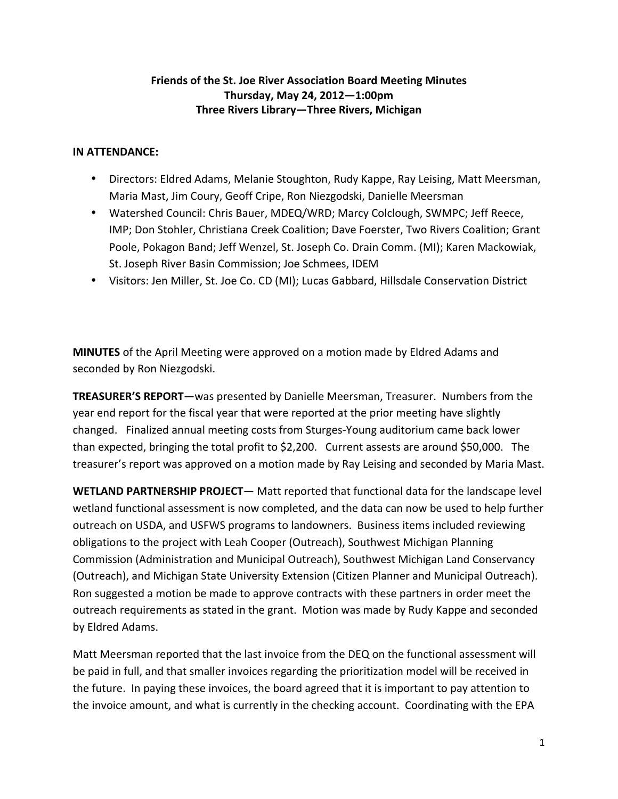## **Friends of the St. Joe River Association Board Meeting Minutes Thursday, May 24, 2012—1:00pm Three Rivers Library—Three Rivers, Michigan**

## **IN ATTENDANCE:**

- Directors: Eldred Adams, Melanie Stoughton, Rudy Kappe, Ray Leising, Matt Meersman, Maria Mast, Jim Coury, Geoff Cripe, Ron Niezgodski, Danielle Meersman
- Watershed Council: Chris Bauer, MDEQ/WRD; Marcy Colclough, SWMPC; Jeff Reece, IMP; Don Stohler, Christiana Creek Coalition; Dave Foerster, Two Rivers Coalition; Grant Poole, Pokagon Band; Jeff Wenzel, St. Joseph Co. Drain Comm. (MI); Karen Mackowiak, St. Joseph River Basin Commission; Joe Schmees, IDEM
- Visitors: Jen Miller, St. Joe Co. CD (MI); Lucas Gabbard, Hillsdale Conservation District

**MINUTES** of the April Meeting were approved on a motion made by Eldred Adams and seconded by Ron Niezgodski.

**TREASURER'S REPORT**—was presented by Danielle Meersman, Treasurer. Numbers from the year end report for the fiscal year that were reported at the prior meeting have slightly changed. Finalized annual meeting costs from Sturges‐Young auditorium came back lower than expected, bringing the total profit to \$2,200. Current assests are around \$50,000. The treasurer's report was approved on a motion made by Ray Leising and seconded by Maria Mast.

**WETLAND PARTNERSHIP PROJECT**— Matt reported that functional data for the landscape level wetland functional assessment is now completed, and the data can now be used to help further outreach on USDA, and USFWS programs to landowners. Business items included reviewing obligations to the project with Leah Cooper (Outreach), Southwest Michigan Planning Commission (Administration and Municipal Outreach), Southwest Michigan Land Conservancy (Outreach), and Michigan State University Extension (Citizen Planner and Municipal Outreach). Ron suggested a motion be made to approve contracts with these partners in order meet the outreach requirements as stated in the grant. Motion was made by Rudy Kappe and seconded by Eldred Adams.

Matt Meersman reported that the last invoice from the DEQ on the functional assessment will be paid in full, and that smaller invoices regarding the prioritization model will be received in the future. In paying these invoices, the board agreed that it is important to pay attention to the invoice amount, and what is currently in the checking account. Coordinating with the EPA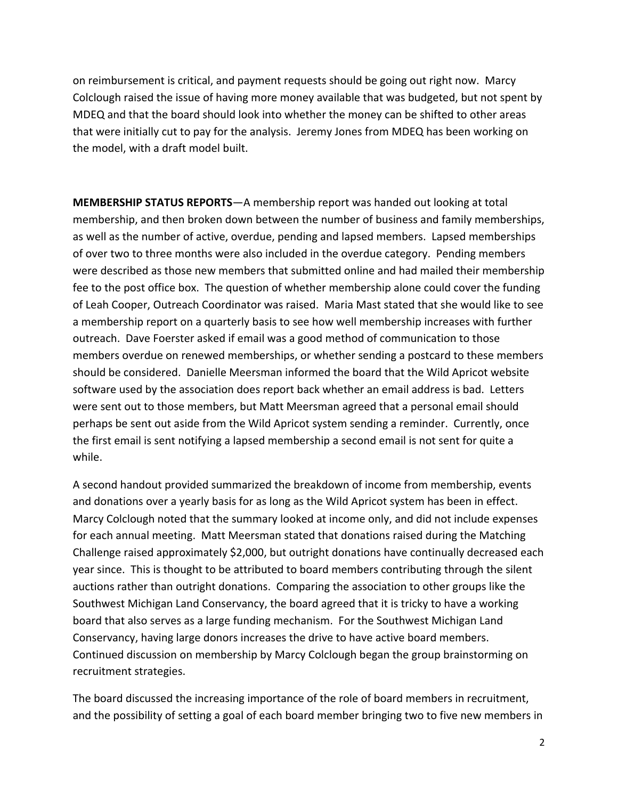on reimbursement is critical, and payment requests should be going out right now. Marcy Colclough raised the issue of having more money available that was budgeted, but not spent by MDEQ and that the board should look into whether the money can be shifted to other areas that were initially cut to pay for the analysis. Jeremy Jones from MDEQ has been working on the model, with a draft model built.

**MEMBERSHIP STATUS REPORTS**—A membership report was handed out looking at total membership, and then broken down between the number of business and family memberships, as well as the number of active, overdue, pending and lapsed members. Lapsed memberships of over two to three months were also included in the overdue category. Pending members were described as those new members that submitted online and had mailed their membership fee to the post office box. The question of whether membership alone could cover the funding of Leah Cooper, Outreach Coordinator was raised. Maria Mast stated that she would like to see a membership report on a quarterly basis to see how well membership increases with further outreach. Dave Foerster asked if email was a good method of communication to those members overdue on renewed memberships, or whether sending a postcard to these members should be considered. Danielle Meersman informed the board that the Wild Apricot website software used by the association does report back whether an email address is bad. Letters were sent out to those members, but Matt Meersman agreed that a personal email should perhaps be sent out aside from the Wild Apricot system sending a reminder. Currently, once the first email is sent notifying a lapsed membership a second email is not sent for quite a while.

A second handout provided summarized the breakdown of income from membership, events and donations over a yearly basis for as long as the Wild Apricot system has been in effect. Marcy Colclough noted that the summary looked at income only, and did not include expenses for each annual meeting. Matt Meersman stated that donations raised during the Matching Challenge raised approximately \$2,000, but outright donations have continually decreased each year since. This is thought to be attributed to board members contributing through the silent auctions rather than outright donations. Comparing the association to other groups like the Southwest Michigan Land Conservancy, the board agreed that it is tricky to have a working board that also serves as a large funding mechanism. For the Southwest Michigan Land Conservancy, having large donors increases the drive to have active board members. Continued discussion on membership by Marcy Colclough began the group brainstorming on recruitment strategies.

The board discussed the increasing importance of the role of board members in recruitment, and the possibility of setting a goal of each board member bringing two to five new members in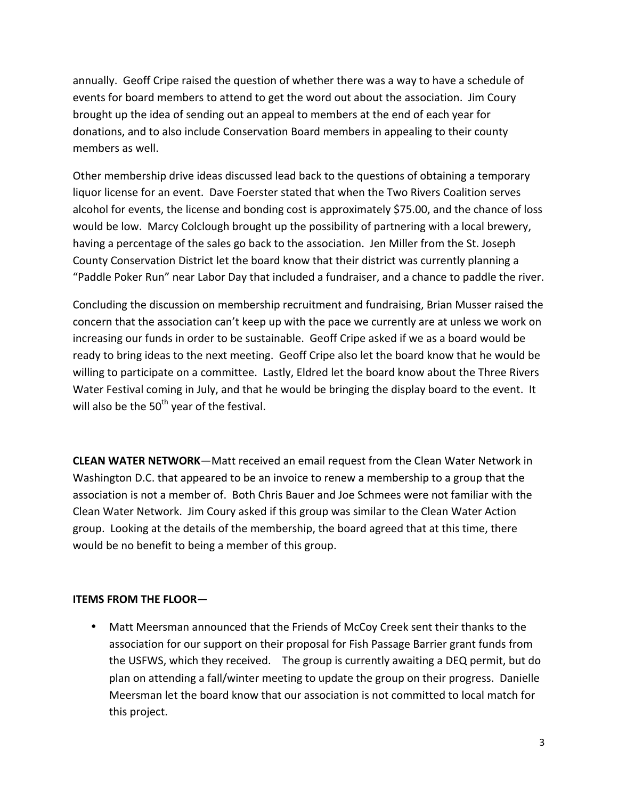annually. Geoff Cripe raised the question of whether there was a way to have a schedule of events for board members to attend to get the word out about the association. Jim Coury brought up the idea of sending out an appeal to members at the end of each year for donations, and to also include Conservation Board members in appealing to their county members as well.

Other membership drive ideas discussed lead back to the questions of obtaining a temporary liquor license for an event. Dave Foerster stated that when the Two Rivers Coalition serves alcohol for events, the license and bonding cost is approximately \$75.00, and the chance of loss would be low. Marcy Colclough brought up the possibility of partnering with a local brewery, having a percentage of the sales go back to the association. Jen Miller from the St. Joseph County Conservation District let the board know that their district was currently planning a "Paddle Poker Run" near Labor Day that included a fundraiser, and a chance to paddle the river.

Concluding the discussion on membership recruitment and fundraising, Brian Musser raised the concern that the association can't keep up with the pace we currently are at unless we work on increasing our funds in order to be sustainable. Geoff Cripe asked if we as a board would be ready to bring ideas to the next meeting. Geoff Cripe also let the board know that he would be willing to participate on a committee. Lastly, Eldred let the board know about the Three Rivers Water Festival coming in July, and that he would be bringing the display board to the event. It will also be the  $50<sup>th</sup>$  year of the festival.

**CLEAN WATER NETWORK**—Matt received an email request from the Clean Water Network in Washington D.C. that appeared to be an invoice to renew a membership to a group that the association is not a member of. Both Chris Bauer and Joe Schmees were not familiar with the Clean Water Network. Jim Coury asked if this group was similar to the Clean Water Action group. Looking at the details of the membership, the board agreed that at this time, there would be no benefit to being a member of this group.

## **ITEMS FROM THE FLOOR**—

• Matt Meersman announced that the Friends of McCoy Creek sent their thanks to the association for our support on their proposal for Fish Passage Barrier grant funds from the USFWS, which they received. The group is currently awaiting a DEQ permit, but do plan on attending a fall/winter meeting to update the group on their progress. Danielle Meersman let the board know that our association is not committed to local match for this project.